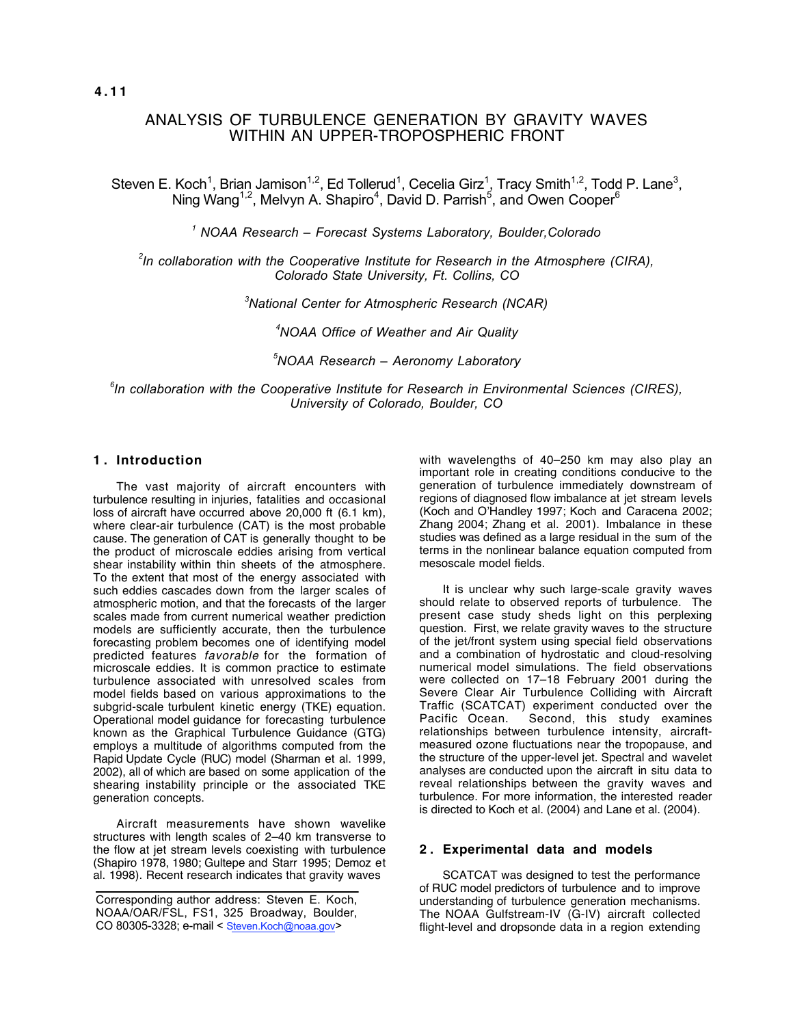# ANALYSIS OF TURBULENCE GENERATION BY GRAVITY WAVES WITHIN AN UPPER-TROPOSPHERIC FRONT

Steven E. Koch<sup>1</sup>, Brian Jamison<sup>1,2</sup>, Ed Tollerud<sup>1</sup>, Cecelia Girz<sup>1</sup>, Tracy Smith<sup>1,2</sup>, Todd P. Lane<sup>3</sup>, Ning Wang<sup>1,2</sup>, Melvyn A. Shapiro<sup>4</sup>, David D. Parrish<sup>5</sup>, and Owen Cooper<sup>6</sup>

*1 NOAA Research – Forecast Systems Laboratory, Boulder,Colorado*

*2 In collaboration with the Cooperative Institute for Research in the Atmosphere (CIRA), Colorado State University, Ft. Collins, CO*

*3 National Center for Atmospheric Research (NCAR)*

*4 NOAA Office of Weather and Air Quality*

*5 NOAA Research – Aeronomy Laboratory*

*6 In collaboration with the Cooperative Institute for Research in Environmental Sciences (CIRES), University of Colorado, Boulder, CO*

# **1 . Introduction**

The vast majority of aircraft encounters with turbulence resulting in injuries, fatalities and occasional loss of aircraft have occurred above 20,000 ft (6.1 km), where clear-air turbulence (CAT) is the most probable cause. The generation of CAT is generally thought to be the product of microscale eddies arising from vertical shear instability within thin sheets of the atmosphere. To the extent that most of the energy associated with such eddies cascades down from the larger scales of atmospheric motion, and that the forecasts of the larger scales made from current numerical weather prediction models are sufficiently accurate, then the turbulence forecasting problem becomes one of identifying model predicted features favorable for the formation of microscale eddies. It is common practice to estimate turbulence associated with unresolved scales from model fields based on various approximations to the subgrid-scale turbulent kinetic energy (TKE) equation. Operational model guidance for forecasting turbulence known as the Graphical Turbulence Guidance (GTG) employs a multitude of algorithms computed from the Rapid Update Cycle (RUC) model (Sharman et al. 1999, 2002), all of which are based on some application of the shearing instability principle or the associated TKE generation concepts.

Aircraft measurements have shown wavelike structures with length scales of 2–40 km transverse to the flow at jet stream levels coexisting with turbulence (Shapiro 1978, 1980; Gultepe and Starr 1995; Demoz et al. 1998). Recent research indicates that gravity waves

with wavelengths of 40–250 km may also play an important role in creating conditions conducive to the generation of turbulence immediately downstream of regions of diagnosed flow imbalance at jet stream levels (Koch and O'Handley 1997; Koch and Caracena 2002; Zhang 2004; Zhang et al. 2001). Imbalance in these studies was defined as a large residual in the sum of the terms in the nonlinear balance equation computed from mesoscale model fields.

It is unclear why such large-scale gravity waves should relate to observed reports of turbulence. The present case study sheds light on this perplexing question. First, we relate gravity waves to the structure of the jet/front system using special field observations and a combination of hydrostatic and cloud-resolving numerical model simulations. The field observations were collected on 17–18 February 2001 during the Severe Clear Air Turbulence Colliding with Aircraft Traffic (SCATCAT) experiment conducted over the<br>Pacific Ocean. Second, this study examines Second, this study examines relationships between turbulence intensity, aircraftmeasured ozone fluctuations near the tropopause, and the structure of the upper-level jet. Spectral and wavelet analyses are conducted upon the aircraft in situ data to reveal relationships between the gravity waves and turbulence. For more information, the interested reader is directed to Koch et al. (2004) and Lane et al. (2004).

# **2 . Experimental data and models**

SCATCAT was designed to test the performance of RUC model predictors of turbulence and to improve understanding of turbulence generation mechanisms. The NOAA Gulfstream-IV (G-IV) aircraft collected flight-level and dropsonde data in a region extending

Corresponding author address: Steven E. Koch, NOAA/OAR/FSL, FS1, 325 Broadway, Boulder, CO 80305-3328; e-mail < Steven.Koch@noaa.gov>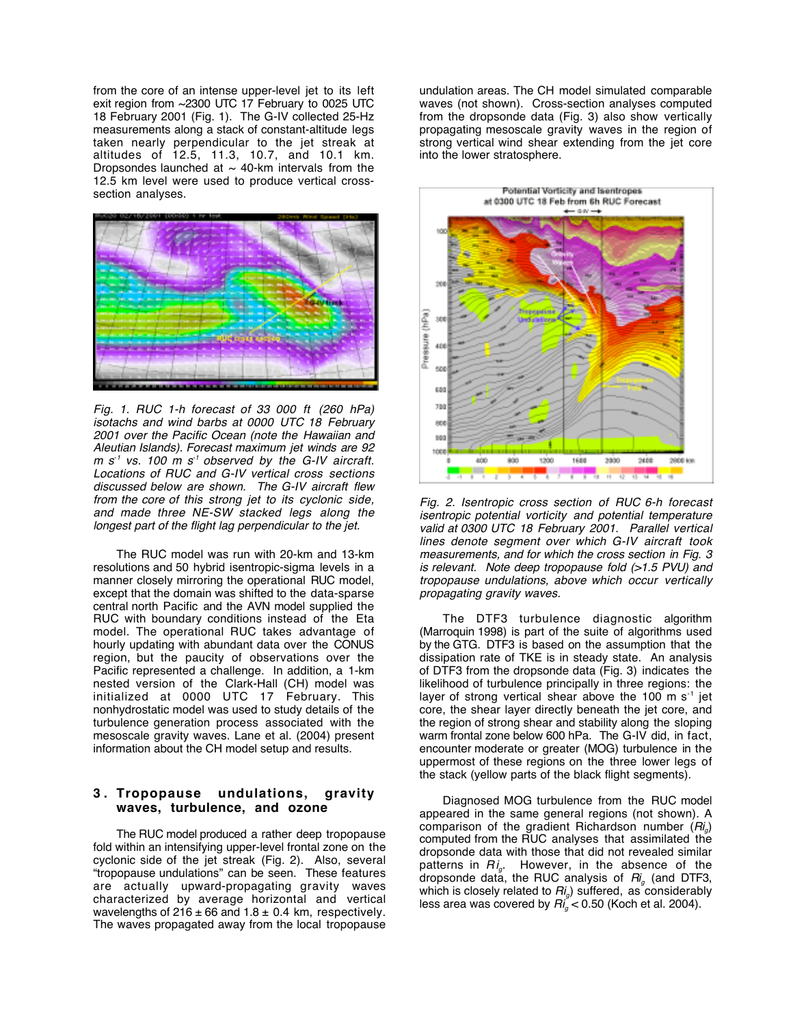from the core of an intense upper-level jet to its left exit region from ~2300 UTC 17 February to 0025 UTC 18 February 2001 (Fig. 1). The G-IV collected 25-Hz measurements along a stack of constant-altitude legs taken nearly perpendicular to the jet streak at altitudes of 12.5, 11.3, 10.7, and 10.1 km. Dropsondes launched at  $\sim$  40-km intervals from the 12.5 km level were used to produce vertical crosssection analyses.



Fig. 1. RUC 1-h forecast of 33 000 ft (260 hPa) isotachs and wind barbs at 0000 UTC 18 February 2001 over the Pacific Ocean (note the Hawaiian and Aleutian Islands). Forecast maximum jet winds are 92  $m s<sup>-1</sup>$  vs. 100 m s<sup>-1</sup> observed by the G-IV aircraft. Locations of RUC and G-IV vertical cross sections discussed below are shown. The G-IV aircraft flew from the core of this strong jet to its cyclonic side, and made three NE-SW stacked legs along the longest part of the flight lag perpendicular to the jet.

The RUC model was run with 20-km and 13-km resolutions and 50 hybrid isentropic-sigma levels in a manner closely mirroring the operational RUC model, except that the domain was shifted to the data-sparse central north Pacific and the AVN model supplied the RUC with boundary conditions instead of the Eta model. The operational RUC takes advantage of hourly updating with abundant data over the CONUS region, but the paucity of observations over the Pacific represented a challenge. In addition, a 1-km nested version of the Clark-Hall (CH) model was initialized at 0000 UTC 17 February. This nonhydrostatic model was used to study details of the turbulence generation process associated with the mesoscale gravity waves. Lane et al. (2004) present information about the CH model setup and results.

### **3 . Tropopause undulations, gravity waves, turbulence, and ozone**

The RUC model produced a rather deep tropopause fold within an intensifying upper-level frontal zone on the cyclonic side of the jet streak (Fig. 2). Also, several "tropopause undulations" can be seen. These features are actually upward-propagating gravity waves characterized by average horizontal and vertical wavelengths of  $216 \pm 66$  and  $1.8 \pm 0.4$  km, respectively. The waves propagated away from the local tropopause undulation areas. The CH model simulated comparable waves (not shown). Cross-section analyses computed from the dropsonde data (Fig. 3) also show vertically propagating mesoscale gravity waves in the region of strong vertical wind shear extending from the jet core into the lower stratosphere.



Fig. 2. Isentropic cross section of RUC 6-h forecast isentropic potential vorticity and potential temperature valid at 0300 UTC 18 February 2001. Parallel vertical lines denote segment over which G-IV aircraft took measurements, and for which the cross section in Fig. 3 is relevant. Note deep tropopause fold (>1.5 PVU) and tropopause undulations, above which occur vertically propagating gravity waves.

The DTF3 turbulence diagnostic algorithm (Marroquin 1998) is part of the suite of algorithms used by the GTG. DTF3 is based on the assumption that the dissipation rate of TKE is in steady state. An analysis of DTF3 from the dropsonde data (Fig. 3) indicates the likelihood of turbulence principally in three regions: the layer of strong vertical shear above the 100 m s<sup>-1</sup> jet core, the shear layer directly beneath the jet core, and the region of strong shear and stability along the sloping warm frontal zone below 600 hPa. The G-IV did, in fact, encounter moderate or greater (MOG) turbulence in the uppermost of these regions on the three lower legs of the stack (yellow parts of the black flight segments).

Diagnosed MOG turbulence from the RUC model appeared in the same general regions (not shown). A comparison of the gradient Richardson number  $(Ri<sub>a</sub>)$ computed from the RUC analyses that assimilated the dropsonde data with those that did not revealed similar patterns in  $Ri_g$ . However, in the absence of the dropsonde data, the RUC analysis of  $R_i$  (and DTF3, which is closely related to  $Ri_q$ ) suffered, as considerably less area was covered by  $Ri_{a}^{\prime}$  < 0.50 (Koch et al. 2004).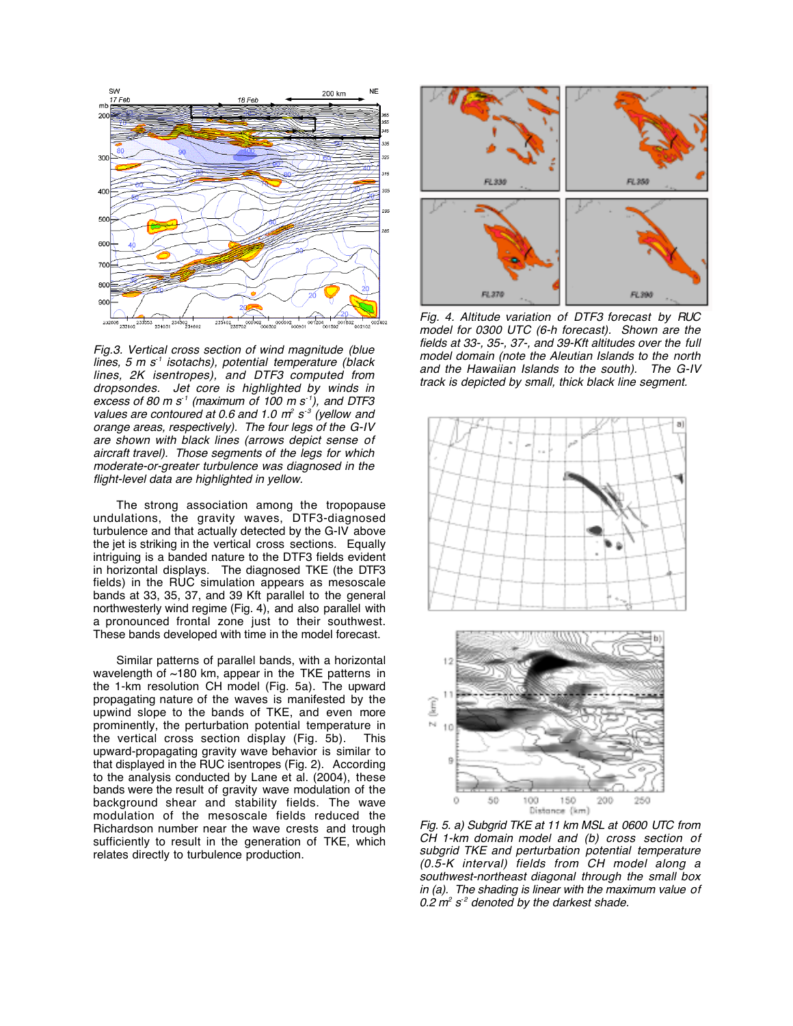

Fig.3. Vertical cross section of wind magnitude (blue lines, 5 m  $s<sup>-1</sup>$  isotachs), potential temperature (black lines, 2K isentropes), and DTF3 computed from dropsondes. Jet core is highlighted by winds in excess of 80 m s<sup>-1</sup> (maximum of 100 m s<sup>-1</sup>), and DTF3 values are contoured at 0.6 and 1.0  $m^2 s^3$  (yellow and orange areas, respectively). The four legs of the G-IV are shown with black lines (arrows depict sense of aircraft travel). Those segments of the legs for which moderate-or-greater turbulence was diagnosed in the flight-level data are highlighted in yellow.

The strong association among the tropopause undulations, the gravity waves, DTF3-diagnosed turbulence and that actually detected by the G-IV above the jet is striking in the vertical cross sections. Equally intriguing is a banded nature to the DTF3 fields evident in horizontal displays. The diagnosed TKE (the DTF3 fields) in the RUC simulation appears as mesoscale bands at 33, 35, 37, and 39 Kft parallel to the general northwesterly wind regime (Fig. 4), and also parallel with a pronounced frontal zone just to their southwest. These bands developed with time in the model forecast.

Similar patterns of parallel bands, with a horizontal wavelength of ~180 km, appear in the TKE patterns in the 1-km resolution CH model (Fig. 5a). The upward propagating nature of the waves is manifested by the upwind slope to the bands of TKE, and even more prominently, the perturbation potential temperature in the vertical cross section display (Fig. 5b). This upward-propagating gravity wave behavior is similar to that displayed in the RUC isentropes (Fig. 2). According to the analysis conducted by Lane et al. (2004), these bands were the result of gravity wave modulation of the background shear and stability fields. The wave modulation of the mesoscale fields reduced the Richardson number near the wave crests and trough sufficiently to result in the generation of TKE, which relates directly to turbulence production.



Fig. 4. Altitude variation of DTF3 forecast by RUC model for 0300 UTC (6-h forecast). Shown are the fields at 33-, 35-, 37-, and 39-Kft altitudes over the full model domain (note the Aleutian Islands to the north and the Hawaiian Islands to the south). The G-IV track is depicted by small, thick black line segment.



Fig. 5. a) Subgrid TKE at 11 km MSL at 0600 UTC from CH 1-km domain model and (b) cross section of subgrid TKE and perturbation potential temperature (0.5-K interval) fields from CH model along a southwest-northeast diagonal through the small box in (a). The shading is linear with the maximum value of 0.2  $m^2$  s<sup>-2</sup> denoted by the darkest shade.

Distance (km)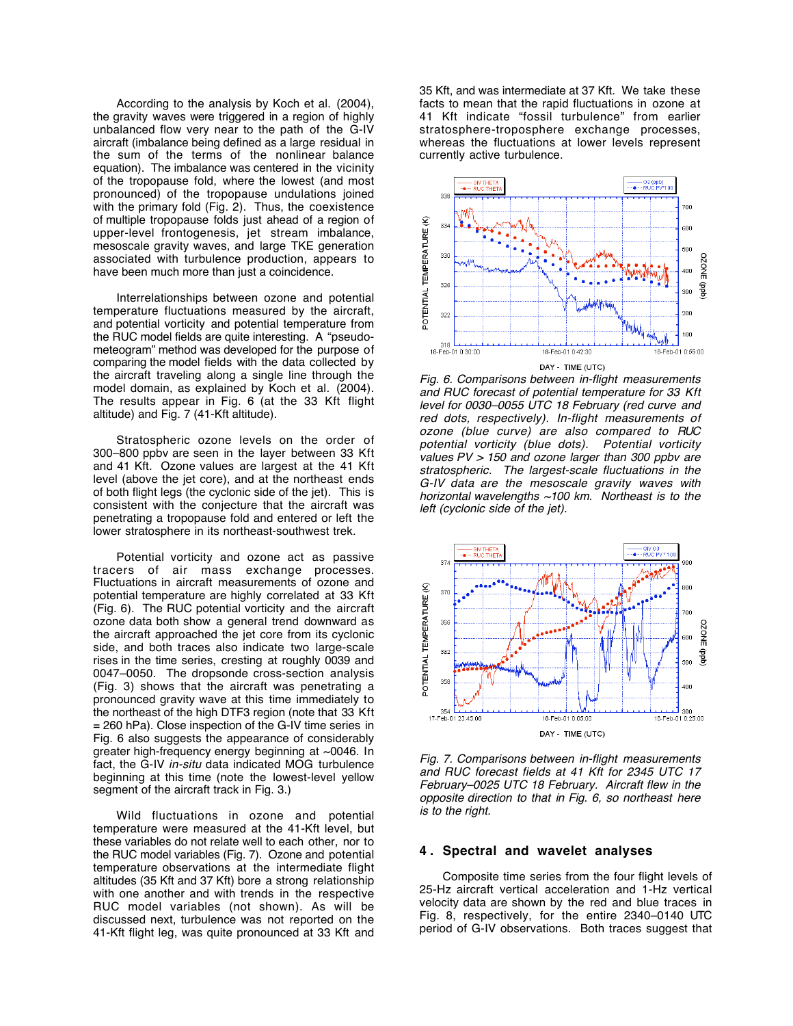According to the analysis by Koch et al. (2004), the gravity waves were triggered in a region of highly unbalanced flow very near to the path of the G-IV aircraft (imbalance being defined as a large residual in the sum of the terms of the nonlinear balance equation). The imbalance was centered in the vicinity of the tropopause fold, where the lowest (and most pronounced) of the tropopause undulations joined with the primary fold (Fig. 2). Thus, the coexistence of multiple tropopause folds just ahead of a region of upper-level frontogenesis, jet stream imbalance, mesoscale gravity waves, and large TKE generation associated with turbulence production, appears to have been much more than just a coincidence.

Interrelationships between ozone and potential temperature fluctuations measured by the aircraft, and potential vorticity and potential temperature from the RUC model fields are quite interesting. A "pseudometeogram" method was developed for the purpose of comparing the model fields with the data collected by the aircraft traveling along a single line through the model domain, as explained by Koch et al. (2004). The results appear in Fig. 6 (at the 33 Kft flight altitude) and Fig. 7 (41-Kft altitude).

Stratospheric ozone levels on the order of 300–800 ppbv are seen in the layer between 33 Kft and 41 Kft. Ozone values are largest at the 41 Kft level (above the jet core), and at the northeast ends of both flight legs (the cyclonic side of the jet). This is consistent with the conjecture that the aircraft was penetrating a tropopause fold and entered or left the lower stratosphere in its northeast-southwest trek.

Potential vorticity and ozone act as passive tracers of air mass exchange processes. Fluctuations in aircraft measurements of ozone and potential temperature are highly correlated at 33 Kft (Fig. 6). The RUC potential vorticity and the aircraft ozone data both show a general trend downward as the aircraft approached the jet core from its cyclonic side, and both traces also indicate two large-scale rises in the time series, cresting at roughly 0039 and 0047–0050. The dropsonde cross-section analysis (Fig. 3) shows that the aircraft was penetrating a pronounced gravity wave at this time immediately to the northeast of the high DTF3 region (note that 33 Kft = 260 hPa). Close inspection of the G-IV time series in Fig. 6 also suggests the appearance of considerably greater high-frequency energy beginning at ~0046. In fact, the G-IV in-situ data indicated MOG turbulence beginning at this time (note the lowest-level yellow segment of the aircraft track in Fig. 3.)

Wild fluctuations in ozone and potential temperature were measured at the 41-Kft level, but these variables do not relate well to each other, nor to the RUC model variables (Fig. 7). Ozone and potential temperature observations at the intermediate flight altitudes (35 Kft and 37 Kft) bore a strong relationship with one another and with trends in the respective RUC model variables (not shown). As will be discussed next, turbulence was not reported on the 41-Kft flight leg, was quite pronounced at 33 Kft and

35 Kft, and was intermediate at 37 Kft. We take these facts to mean that the rapid fluctuations in ozone at 41 Kft indicate "fossil turbulence" from earlier stratosphere-troposphere exchange processes, whereas the fluctuations at lower levels represent currently active turbulence.



Fig. 6. Comparisons between in-flight measurements and RUC forecast of potential temperature for 33 Kft level for 0030–0055 UTC 18 February (red curve and red dots, respectively). In-flight measurements of ozone (blue curve) are also compared to RUC potential vorticity (blue dots). Potential vorticity values  $PV > 150$  and ozone larger than 300 ppbv are stratospheric. The largest-scale fluctuations in the G-IV data are the mesoscale gravity waves with horizontal wavelengths  $\sim$ 100 km. Northeast is to the left (cyclonic side of the jet).



Fig. 7. Comparisons between in-flight measurements and RUC forecast fields at 41 Kft for 2345 UTC 17 February–0025 UTC 18 February. Aircraft flew in the opposite direction to that in Fig. 6, so northeast here is to the right.

#### **4 . Spectral and wavelet analyses**

Composite time series from the four flight levels of 25-Hz aircraft vertical acceleration and 1-Hz vertical velocity data are shown by the red and blue traces in Fig. 8, respectively, for the entire 2340–0140 UTC period of G-IV observations. Both traces suggest that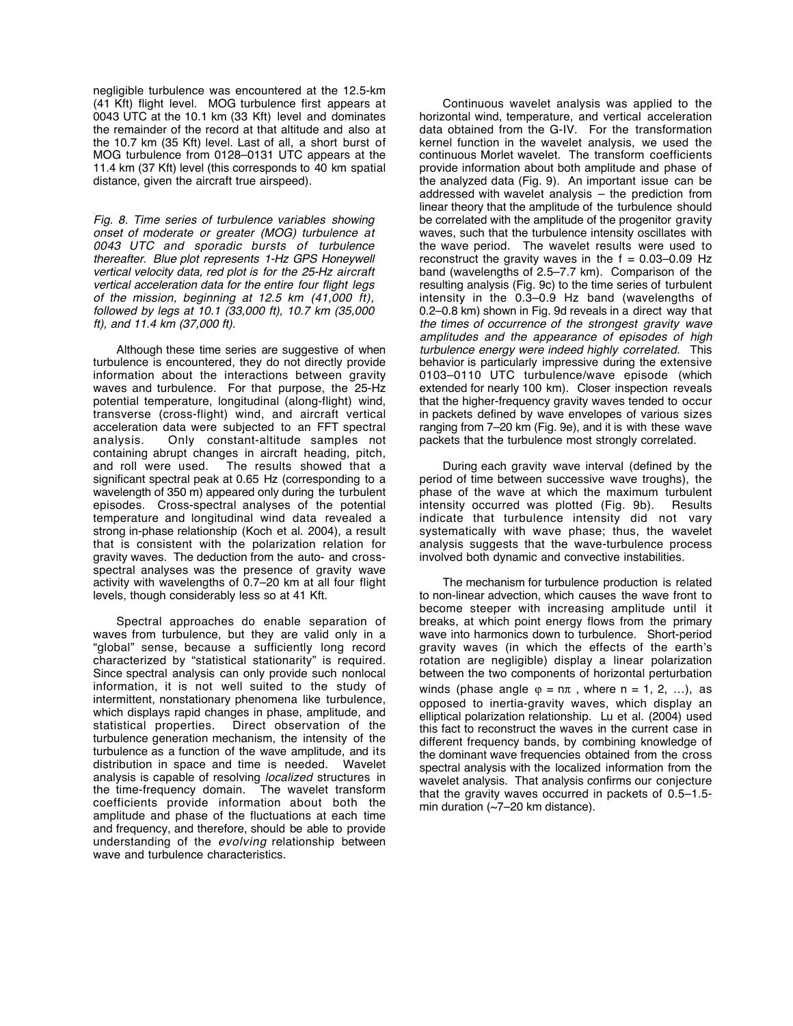negligible turbulence was encountered at the 12.5-km (41 Kft) flight level. MOG turbulence first appears at 0043 UTC at the 10.1 km (33 Kft) level and dominates the remainder of the record at that altitude and also at the 10.7 km (35 Kft) level. Last of all, a short burst of MOG turbulence from 0128–0131 UTC appears at the 11.4 km (37 Kft) level (this corresponds to 40 km spatial distance, given the aircraft true airspeed).

Fig. 8. Time series of turbulence variables showing onset of moderate or greater (MOG) turbulence at 0043 UTC and sporadic bursts of turbulence thereafter. Blue plot represents 1-Hz GPS Honeywell vertical velocity data, red plot is for the 25-Hz aircraft vertical acceleration data for the entire four flight legs of the mission, beginning at 12.5 km (41,000 ft), followed by legs at 10.1 (33,000 ft), 10.7 km (35,000 ft), and 11.4 km (37,000 ft).

Although these time series are suggestive of when turbulence is encountered, they do not directly provide information about the interactions between gravity waves and turbulence. For that purpose, the 25-Hz potential temperature, longitudinal (along-flight) wind, transverse (cross-flight) wind, and aircraft vertical acceleration data were subjected to an FFT spectral analysis. Only constant-altitude samples not containing abrupt changes in aircraft heading, pitch, and roll were used. The results showed that a significant spectral peak at 0.65 Hz (corresponding to a wavelength of 350 m) appeared only during the turbulent episodes. Cross-spectral analyses of the potential temperature and longitudinal wind data revealed a strong in-phase relationship (Koch et al. 2004), a result that is consistent with the polarization relation for gravity waves. The deduction from the auto- and crossspectral analyses was the presence of gravity wave activity with wavelengths of 0.7–20 km at all four flight levels, though considerably less so at 41 Kft.

Spectral approaches do enable separation of waves from turbulence, but they are valid only in a "global" sense, because a sufficiently long record characterized by "statistical stationarity" is required. Since spectral analysis can only provide such nonlocal information, it is not well suited to the study of intermittent, nonstationary phenomena like turbulence, which displays rapid changes in phase, amplitude, and statistical properties. Direct observation of the turbulence generation mechanism, the intensity of the turbulence as a function of the wave amplitude, and its distribution in space and time is needed. Wavelet analysis is capable of resolving localized structures in the time-frequency domain. The wavelet transform coefficients provide information about both the amplitude and phase of the fluctuations at each time and frequency, and therefore, should be able to provide understanding of the evolving relationship between wave and turbulence characteristics.

Continuous wavelet analysis was applied to the horizontal wind, temperature, and vertical acceleration data obtained from the G-IV. For the transformation kernel function in the wavelet analysis, we used the continuous Morlet wavelet. The transform coefficients provide information about both amplitude and phase of the analyzed data (Fig. 9). An important issue can be addressed with wavelet analysis – the prediction from linear theory that the amplitude of the turbulence should be correlated with the amplitude of the progenitor gravity waves, such that the turbulence intensity oscillates with the wave period. The wavelet results were used to reconstruct the gravity waves in the  $f = 0.03-0.09$  Hz band (wavelengths of 2.5–7.7 km). Comparison of the resulting analysis (Fig. 9c) to the time series of turbulent intensity in the 0.3–0.9 Hz band (wavelengths of 0.2–0.8 km) shown in Fig. 9d reveals in a direct way that the times of occurrence of the strongest gravity wave amplitudes and the appearance of episodes of high turbulence energy were indeed highly correlated. This behavior is particularly impressive during the extensive 0103–0110 UTC turbulence/wave episode (which extended for nearly 100 km). Closer inspection reveals that the higher-frequency gravity waves tended to occur in packets defined by wave envelopes of various sizes ranging from 7–20 km (Fig. 9e), and it is with these wave packets that the turbulence most strongly correlated.

During each gravity wave interval (defined by the period of time between successive wave troughs), the phase of the wave at which the maximum turbulent intensity occurred was plotted (Fig. 9b). Results indicate that turbulence intensity did not vary systematically with wave phase; thus, the wavelet analysis suggests that the wave-turbulence process involved both dynamic and convective instabilities.

The mechanism for turbulence production is related to non-linear advection, which causes the wave front to become steeper with increasing amplitude until it breaks, at which point energy flows from the primary wave into harmonics down to turbulence. Short-period gravity waves (in which the effects of the earth's rotation are negligible) display a linear polarization between the two components of horizontal perturbation winds (phase angle  $\varphi$  = n $\pi$  , where n = 1, 2, ...), as opposed to inertia-gravity waves, which display an elliptical polarization relationship. Lu et al. (2004) used this fact to reconstruct the waves in the current case in different frequency bands, by combining knowledge of the dominant wave frequencies obtained from the cross spectral analysis with the localized information from the wavelet analysis. That analysis confirms our conjecture that the gravity waves occurred in packets of 0.5–1.5 min duration (~7–20 km distance).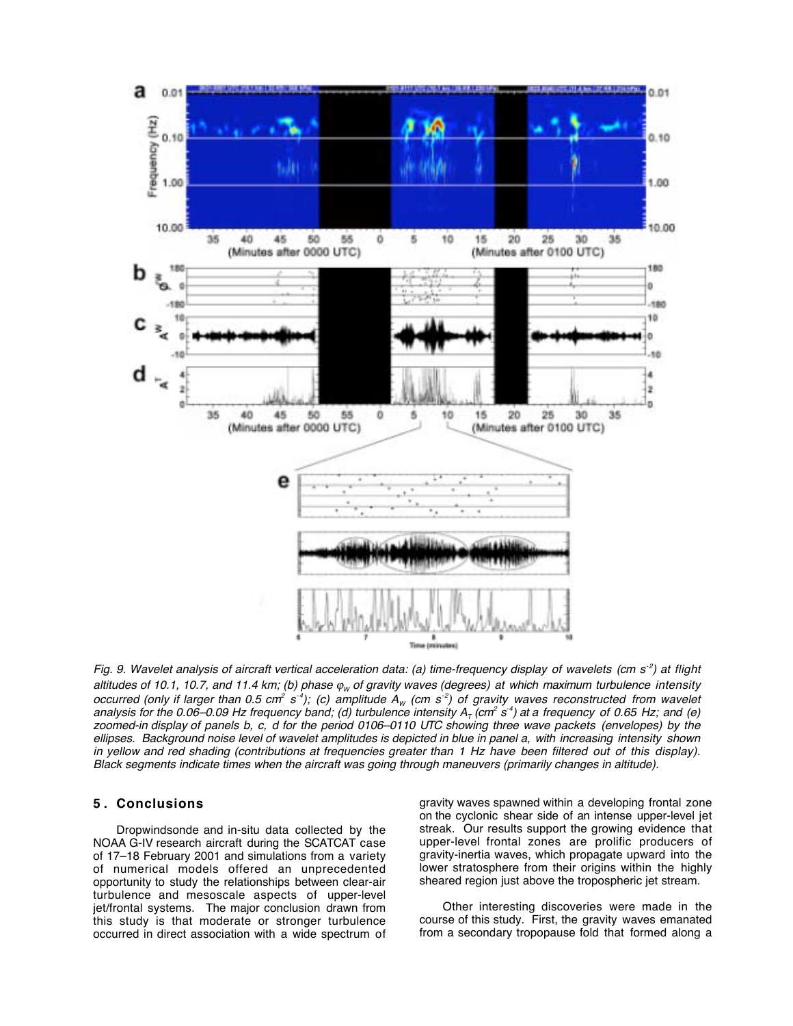

Fig. 9. Wavelet analysis of aircraft vertical acceleration data: (a) time-frequency display of wavelets (cm  $s^2$ ) at flight altitudes of 10.1, 10.7, and 11.4 km; (b) phase  $\varphi_w$  of gravity waves (degrees) at which maximum turbulence intensity occurred (only if larger than 0.5 cm<sup>2</sup> s<sup>-4</sup>); (c) amplitude A<sub>W</sub> (cm s<sup>-2</sup>) of gravity waves reconstructed from wavelet analysis for the 0.06–0.09 Hz frequency band; (d) turbulence intensity  $A_T$  (cm<sup>2</sup> s<sup>-4</sup>) at a frequency of 0.65 Hz; and (e) zoomed-in display of panels b, c, d for the period 0106–0110 UTC showing three wave packets (envelopes) by the ellipses. Background noise level of wavelet amplitudes is depicted in blue in panel a, with increasing intensity shown in yellow and red shading (contributions at frequencies greater than 1 Hz have been filtered out of this display). Black segments indicate times when the aircraft was going through maneuvers (primarily changes in altitude).

# **5 . Conclusions**

Dropwindsonde and in-situ data collected by the NOAA G-IV research aircraft during the SCATCAT case of 17–18 February 2001 and simulations from a variety of numerical models offered an unprecedented opportunity to study the relationships between clear-air turbulence and mesoscale aspects of upper-level jet/frontal systems. The major conclusion drawn from this study is that moderate or stronger turbulence occurred in direct association with a wide spectrum of gravity waves spawned within a developing frontal zone on the cyclonic shear side of an intense upper-level jet streak. Our results support the growing evidence that upper-level frontal zones are prolific producers of gravity-inertia waves, which propagate upward into the lower stratosphere from their origins within the highly sheared region just above the tropospheric jet stream.

Other interesting discoveries were made in the course of this study. First, the gravity waves emanated from a secondary tropopause fold that formed along a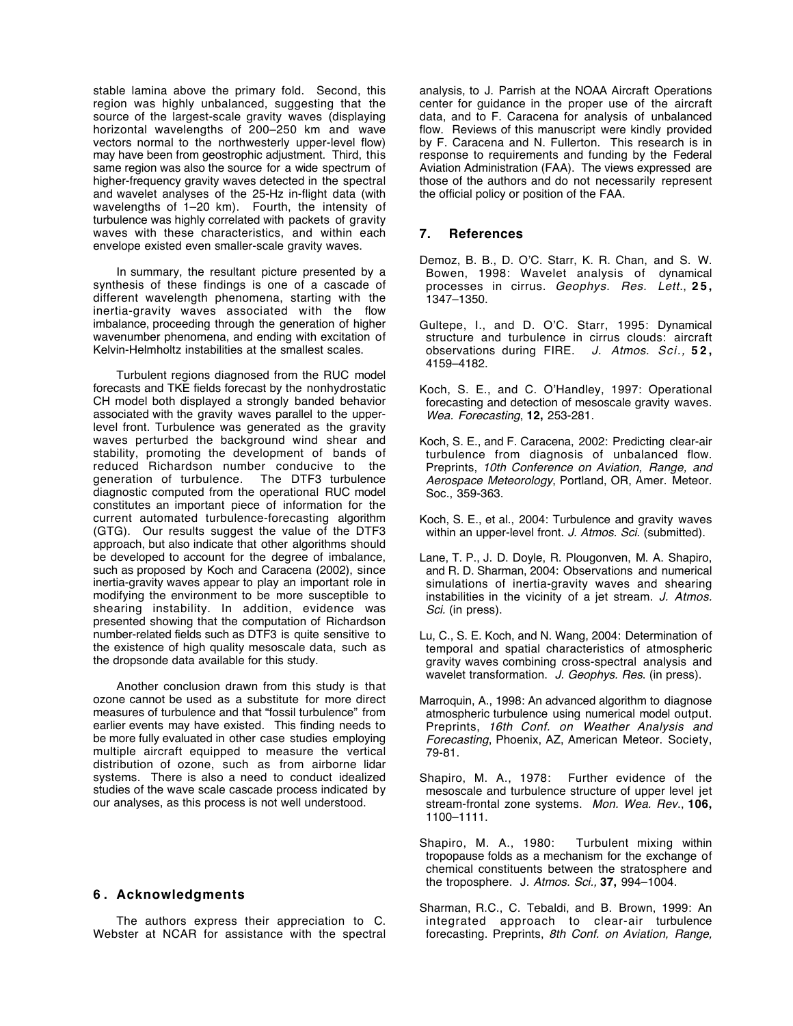stable lamina above the primary fold. Second, this region was highly unbalanced, suggesting that the source of the largest-scale gravity waves (displaying horizontal wavelengths of 200–250 km and wave vectors normal to the northwesterly upper-level flow) may have been from geostrophic adjustment. Third, this same region was also the source for a wide spectrum of higher-frequency gravity waves detected in the spectral and wavelet analyses of the 25-Hz in-flight data (with wavelengths of 1–20 km). Fourth, the intensity of turbulence was highly correlated with packets of gravity waves with these characteristics, and within each envelope existed even smaller-scale gravity waves.

In summary, the resultant picture presented by a synthesis of these findings is one of a cascade of different wavelength phenomena, starting with the inertia-gravity waves associated with the flow imbalance, proceeding through the generation of higher wavenumber phenomena, and ending with excitation of Kelvin-Helmholtz instabilities at the smallest scales.

Turbulent regions diagnosed from the RUC model forecasts and TKE fields forecast by the nonhydrostatic CH model both displayed a strongly banded behavior associated with the gravity waves parallel to the upperlevel front. Turbulence was generated as the gravity waves perturbed the background wind shear and stability, promoting the development of bands of reduced Richardson number conducive to the generation of turbulence. The DTF3 turbulence diagnostic computed from the operational RUC model constitutes an important piece of information for the current automated turbulence-forecasting algorithm (GTG). Our results suggest the value of the DTF3 approach, but also indicate that other algorithms should be developed to account for the degree of imbalance, such as proposed by Koch and Caracena (2002), since inertia-gravity waves appear to play an important role in modifying the environment to be more susceptible to shearing instability. In addition, evidence was presented showing that the computation of Richardson number-related fields such as DTF3 is quite sensitive to the existence of high quality mesoscale data, such as the dropsonde data available for this study.

Another conclusion drawn from this study is that ozone cannot be used as a substitute for more direct measures of turbulence and that "fossil turbulence" from earlier events may have existed. This finding needs to be more fully evaluated in other case studies employing multiple aircraft equipped to measure the vertical distribution of ozone, such as from airborne lidar systems. There is also a need to conduct idealized studies of the wave scale cascade process indicated by our analyses, as this process is not well understood.

#### **6 . Acknowledgments**

The authors express their appreciation to C. Webster at NCAR for assistance with the spectral analysis, to J. Parrish at the NOAA Aircraft Operations center for guidance in the proper use of the aircraft data, and to F. Caracena for analysis of unbalanced flow. Reviews of this manuscript were kindly provided by F. Caracena and N. Fullerton. This research is in response to requirements and funding by the Federal Aviation Administration (FAA). The views expressed are those of the authors and do not necessarily represent the official policy or position of the FAA.

# **7. References**

- Demoz, B. B., D. O'C. Starr, K. R. Chan, and S. W. Bowen, 1998: Wavelet analysis of dynamical processes in cirrus. Geophys. Res. Lett., **25,** 1347–1350.
- Gultepe, I., and D. O'C. Starr, 1995: Dynamical structure and turbulence in cirrus clouds: aircraft observations during FIRE. J. Atmos. Sci., **52,** 4159–4182.
- Koch, S. E., and C. O'Handley, 1997: Operational forecasting and detection of mesoscale gravity waves. Wea. Forecasting, **12,** 253-281.
- Koch, S. E., and F. Caracena, 2002: Predicting clear-air turbulence from diagnosis of unbalanced flow. Preprints, 10th Conference on Aviation, Range, and Aerospace Meteorology, Portland, OR, Amer. Meteor. Soc., 359-363.
- Koch, S. E., et al., 2004: Turbulence and gravity waves within an upper-level front. J. Atmos. Sci. (submitted).
- Lane, T. P., J. D. Doyle, R. Plougonven, M. A. Shapiro, and R. D. Sharman, 2004: Observations and numerical simulations of inertia-gravity waves and shearing instabilities in the vicinity of a jet stream. J. Atmos. Sci. (in press).
- Lu, C., S. E. Koch, and N. Wang, 2004: Determination of temporal and spatial characteristics of atmospheric gravity waves combining cross-spectral analysis and wavelet transformation. J. Geophys. Res. (in press).
- Marroquin, A., 1998: An advanced algorithm to diagnose atmospheric turbulence using numerical model output. Preprints, 16th Conf. on Weather Analysis and Forecasting, Phoenix, AZ, American Meteor. Society, 79-81.
- Shapiro, M. A., 1978: Further evidence of the mesoscale and turbulence structure of upper level jet stream-frontal zone systems. Mon. Wea. Rev., **106,** 1100–1111.
- Shapiro, M. A., 1980: Turbulent mixing within tropopause folds as a mechanism for the exchange of chemical constituents between the stratosphere and the troposphere. J. Atmos. Sci., **37,** 994–1004.
- Sharman, R.C., C. Tebaldi, and B. Brown, 1999: An integrated approach to clear-air turbulence forecasting. Preprints, 8th Conf. on Aviation, Range,